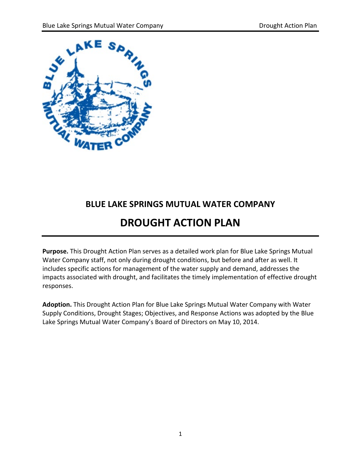

## **BLUE LAKE SPRINGS MUTUAL WATER COMPANY**

# **DROUGHT ACTION PLAN**

**Purpose.** This Drought Action Plan serves as a detailed work plan for Blue Lake Springs Mutual Water Company staff, not only during drought conditions, but before and after as well. It includes specific actions for management of the water supply and demand, addresses the impacts associated with drought, and facilitates the timely implementation of effective drought responses.

**Adoption.** This Drought Action Plan for Blue Lake Springs Mutual Water Company with Water Supply Conditions, Drought Stages; Objectives, and Response Actions was adopted by the Blue Lake Springs Mutual Water Company's Board of Directors on May 10, 2014.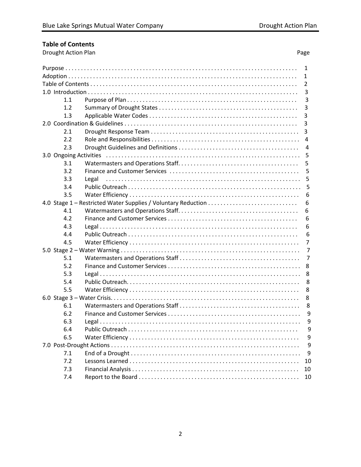Page

## **Table of Contents**

Drought Action Plan

| 1                      |     |       |                |
|------------------------|-----|-------|----------------|
|                        | 1   |       |                |
|                        | 2   |       |                |
|                        |     | 3     |                |
|                        | 1.1 |       | 3              |
|                        | 1.2 |       | 3              |
|                        | 1.3 |       | 3              |
|                        |     |       | 3              |
|                        | 2.1 |       | 3              |
|                        | 2.2 |       | 4              |
|                        | 2.3 |       | 4              |
| 3.0 Ongoing Activities |     |       | 5              |
|                        | 3.1 |       | 5              |
|                        | 3.2 |       | 5              |
|                        | 3.3 | Legal | 5              |
|                        | 3.4 |       | 5              |
|                        | 3.5 |       | 6              |
|                        |     |       | 6              |
|                        | 4.1 |       | 6              |
|                        | 4.2 |       | 6              |
|                        | 4.3 |       | 6              |
|                        | 4.4 |       | 6              |
|                        | 4.5 |       | $\overline{7}$ |
|                        |     |       | 7              |
|                        | 5.1 |       | 7              |
|                        | 5.2 |       | 8              |
|                        | 5.3 |       | 8              |
|                        | 5.4 |       | 8              |
|                        | 5.5 |       | 8              |
|                        |     |       | 8              |
|                        | 6.1 |       | 8              |
|                        | 6.2 |       | 9              |
|                        | 6.3 |       | 9              |
|                        | 6.4 |       | 9              |
|                        | 6.5 |       | 9              |
|                        |     |       | 9              |
|                        | 7.1 |       | 9              |
|                        | 7.2 |       | 10             |
|                        | 7.3 |       | 10             |
|                        | 7.4 |       | 10             |
|                        |     |       |                |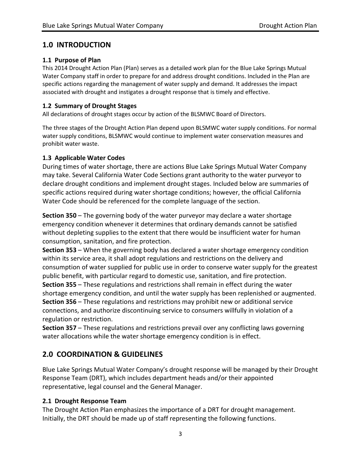## **1.0 INTRODUCTION**

#### **1.1 Purpose of Plan**

This 2014 Drought Action Plan (Plan) serves as a detailed work plan for the Blue Lake Springs Mutual Water Company staff in order to prepare for and address drought conditions. Included in the Plan are specific actions regarding the management of water supply and demand. It addresses the impact associated with drought and instigates a drought response that is timely and effective.

#### **1.2 Summary of Drought Stages**

All declarations of drought stages occur by action of the BLSMWC Board of Directors.

The three stages of the Drought Action Plan depend upon BLSMWC water supply conditions. For normal water supply conditions, BLSMWC would continue to implement water conservation measures and prohibit water waste.

#### **1.3 Applicable Water Codes**

During times of water shortage, there are actions Blue Lake Springs Mutual Water Company may take. Several California Water Code Sections grant authority to the water purveyor to declare drought conditions and implement drought stages. Included below are summaries of specific actions required during water shortage conditions; however, the official California Water Code should be referenced for the complete language of the section.

**Section 350** – The governing body of the water purveyor may declare a water shortage emergency condition whenever it determines that ordinary demands cannot be satisfied without depleting supplies to the extent that there would be insufficient water for human consumption, sanitation, and fire protection.

**Section 353** – When the governing body has declared a water shortage emergency condition within its service area, it shall adopt regulations and restrictions on the delivery and consumption of water supplied for public use in order to conserve water supply for the greatest public benefit, with particular regard to domestic use, sanitation, and fire protection. **Section 355** – These regulations and restrictions shall remain in effect during the water shortage emergency condition, and until the water supply has been replenished or augmented. **Section 356** – These regulations and restrictions may prohibit new or additional service connections, and authorize discontinuing service to consumers willfully in violation of a regulation or restriction.

**Section 357** – These regulations and restrictions prevail over any conflicting laws governing water allocations while the water shortage emergency condition is in effect.

## **2.0 COORDINATION & GUIDELINES**

Blue Lake Springs Mutual Water Company's drought response will be managed by their Drought Response Team (DRT), which includes department heads and/or their appointed representative, legal counsel and the General Manager.

#### **2.1 Drought Response Team**

The Drought Action Plan emphasizes the importance of a DRT for drought management. Initially, the DRT should be made up of staff representing the following functions.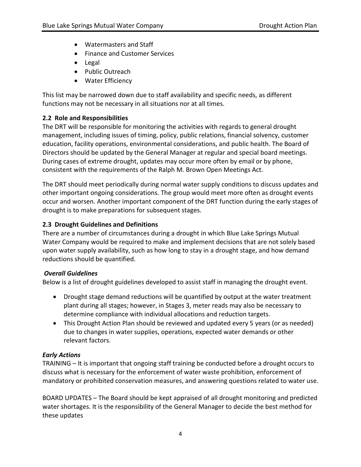- Watermasters and Staff
- Finance and Customer Services
- Legal
- Public Outreach
- Water Efficiency

This list may be narrowed down due to staff availability and specific needs, as different functions may not be necessary in all situations nor at all times.

#### **2.2 Role and Responsibilities**

The DRT will be responsible for monitoring the activities with regards to general drought management, including issues of timing, policy, public relations, financial solvency, customer education, facility operations, environmental considerations, and public health. The Board of Directors should be updated by the General Manager at regular and special board meetings. During cases of extreme drought, updates may occur more often by email or by phone, consistent with the requirements of the Ralph M. Brown Open Meetings Act.

The DRT should meet periodically during normal water supply conditions to discuss updates and other important ongoing considerations. The group would meet more often as drought events occur and worsen. Another important component of the DRT function during the early stages of drought is to make preparations for subsequent stages.

#### **2.3 Drought Guidelines and Definitions**

There are a number of circumstances during a drought in which Blue Lake Springs Mutual Water Company would be required to make and implement decisions that are not solely based upon water supply availability, such as how long to stay in a drought stage, and how demand reductions should be quantified.

#### *Overall Guidelines*

Below is a list of drought guidelines developed to assist staff in managing the drought event.

- Drought stage demand reductions will be quantified by output at the water treatment plant during all stages; however, in Stages 3, meter reads may also be necessary to determine compliance with individual allocations and reduction targets.
- This Drought Action Plan should be reviewed and updated every 5 years (or as needed) due to changes in water supplies, operations, expected water demands or other relevant factors.

#### *Early Actions*

TRAINING – It is important that ongoing staff training be conducted before a drought occurs to discuss what is necessary for the enforcement of water waste prohibition, enforcement of mandatory or prohibited conservation measures, and answering questions related to water use.

BOARD UPDATES – The Board should be kept appraised of all drought monitoring and predicted water shortages. It is the responsibility of the General Manager to decide the best method for these updates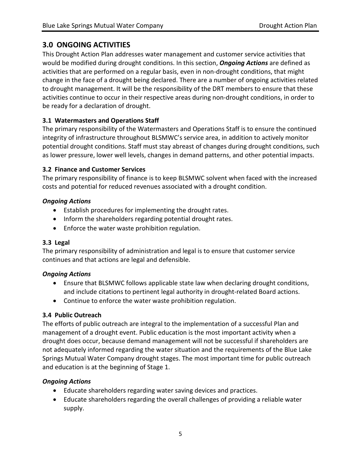## **3.0 ONGOING ACTIVITIES**

This Drought Action Plan addresses water management and customer service activities that would be modified during drought conditions. In this section, *Ongoing Actions* are defined as activities that are performed on a regular basis, even in non-drought conditions, that might change in the face of a drought being declared. There are a number of ongoing activities related to drought management. It will be the responsibility of the DRT members to ensure that these activities continue to occur in their respective areas during non-drought conditions, in order to be ready for a declaration of drought.

## **3.1 Watermasters and Operations Staff**

The primary responsibility of the Watermasters and Operations Staff is to ensure the continued integrity of infrastructure throughout BLSMWC's service area, in addition to actively monitor potential drought conditions. Staff must stay abreast of changes during drought conditions, such as lower pressure, lower well levels, changes in demand patterns, and other potential impacts.

#### **3.2 Finance and Customer Services**

The primary responsibility of finance is to keep BLSMWC solvent when faced with the increased costs and potential for reduced revenues associated with a drought condition.

#### *Ongoing Actions*

- Establish procedures for implementing the drought rates.
- Inform the shareholders regarding potential drought rates.
- Enforce the water waste prohibition regulation.

## **3.3 Legal**

The primary responsibility of administration and legal is to ensure that customer service continues and that actions are legal and defensible.

## *Ongoing Actions*

- Ensure that BLSMWC follows applicable state law when declaring drought conditions, and include citations to pertinent legal authority in drought-related Board actions.
- Continue to enforce the water waste prohibition regulation.

## **3.4 Public Outreach**

The efforts of public outreach are integral to the implementation of a successful Plan and management of a drought event. Public education is the most important activity when a drought does occur, because demand management will not be successful if shareholders are not adequately informed regarding the water situation and the requirements of the Blue Lake Springs Mutual Water Company drought stages. The most important time for public outreach and education is at the beginning of Stage 1.

## *Ongoing Actions*

- Educate shareholders regarding water saving devices and practices.
- Educate shareholders regarding the overall challenges of providing a reliable water supply.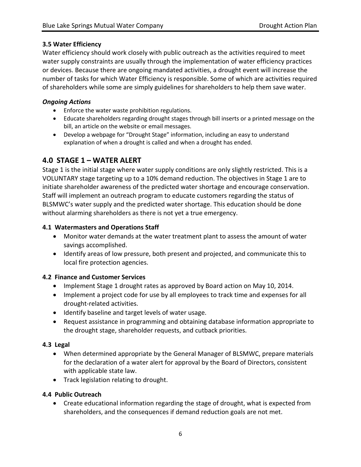#### **3.5 Water Efficiency**

Water efficiency should work closely with public outreach as the activities required to meet water supply constraints are usually through the implementation of water efficiency practices or devices. Because there are ongoing mandated activities, a drought event will increase the number of tasks for which Water Efficiency is responsible. Some of which are activities required of shareholders while some are simply guidelines for shareholders to help them save water.

#### *Ongoing Actions*

- Enforce the water waste prohibition regulations.
- Educate shareholders regarding drought stages through bill inserts or a printed message on the bill, an article on the website or email messages.
- Develop a webpage for "Drought Stage" information, including an easy to understand explanation of when a drought is called and when a drought has ended.

## **4.0 STAGE 1 – WATER ALERT**

Stage 1 is the initial stage where water supply conditions are only slightly restricted. This is a VOLUNTARY stage targeting up to a 10% demand reduction. The objectives in Stage 1 are to initiate shareholder awareness of the predicted water shortage and encourage conservation. Staff will implement an outreach program to educate customers regarding the status of BLSMWC's water supply and the predicted water shortage. This education should be done without alarming shareholders as there is not yet a true emergency.

#### **4.1 Watermasters and Operations Staff**

- Monitor water demands at the water treatment plant to assess the amount of water savings accomplished.
- Identify areas of low pressure, both present and projected, and communicate this to local fire protection agencies.

#### **4.2 Finance and Customer Services**

- Implement Stage 1 drought rates as approved by Board action on May 10, 2014.
- Implement a project code for use by all employees to track time and expenses for all drought-related activities.
- Identify baseline and target levels of water usage.
- Request assistance in programming and obtaining database information appropriate to the drought stage, shareholder requests, and cutback priorities.

#### **4.3 Legal**

- When determined appropriate by the General Manager of BLSMWC, prepare materials for the declaration of a water alert for approval by the Board of Directors, consistent with applicable state law.
- Track legislation relating to drought.

#### **4.4 Public Outreach**

• Create educational information regarding the stage of drought, what is expected from shareholders, and the consequences if demand reduction goals are not met.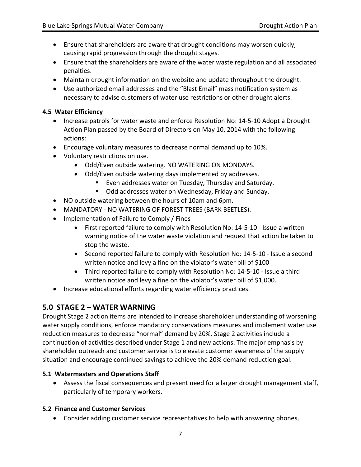- Ensure that shareholders are aware that drought conditions may worsen quickly, causing rapid progression through the drought stages.
- Ensure that the shareholders are aware of the water waste regulation and all associated penalties.
- Maintain drought information on the website and update throughout the drought.
- Use authorized email addresses and the "Blast Email" mass notification system as necessary to advise customers of water use restrictions or other drought alerts.

#### **4.5 Water Efficiency**

- Increase patrols for water waste and enforce Resolution No: 14-5-10 Adopt a Drought Action Plan passed by the Board of Directors on May 10, 2014 with the following actions:
- Encourage voluntary measures to decrease normal demand up to 10%.
- Voluntary restrictions on use.
	- Odd/Even outside watering. NO WATERING ON MONDAYS.
	- Odd/Even outside watering days implemented by addresses.
		- Even addresses water on Tuesday, Thursday and Saturday.
		- **Odd addresses water on Wednesday, Friday and Sunday.**
- NO outside watering between the hours of 10am and 6pm.
- MANDATORY NO WATERING OF FOREST TREES (BARK BEETLES).
- Implementation of Failure to Comply / Fines
	- First reported failure to comply with Resolution No: 14-5-10 Issue a written warning notice of the water waste violation and request that action be taken to stop the waste.
	- Second reported failure to comply with Resolution No: 14-5-10 Issue a second written notice and levy a fine on the violator's water bill of \$100
	- Third reported failure to comply with Resolution No: 14-5-10 Issue a third written notice and levy a fine on the violator's water bill of \$1,000.
- Increase educational efforts regarding water efficiency practices.

## **5.0 STAGE 2 – WATER WARNING**

Drought Stage 2 action items are intended to increase shareholder understanding of worsening water supply conditions, enforce mandatory conservations measures and implement water use reduction measures to decrease "normal" demand by 20%. Stage 2 activities include a continuation of activities described under Stage 1 and new actions. The major emphasis by shareholder outreach and customer service is to elevate customer awareness of the supply situation and encourage continued savings to achieve the 20% demand reduction goal.

#### **5.1 Watermasters and Operations Staff**

• Assess the fiscal consequences and present need for a larger drought management staff, particularly of temporary workers.

#### **5.2 Finance and Customer Services**

• Consider adding customer service representatives to help with answering phones,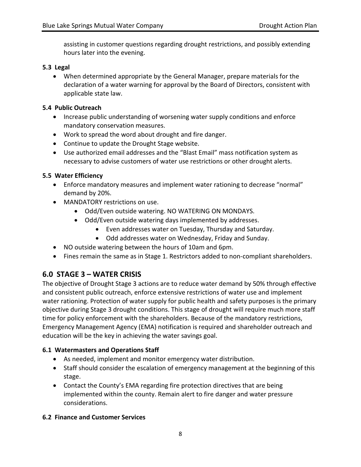assisting in customer questions regarding drought restrictions, and possibly extending hours later into the evening.

#### **5.3 Legal**

• When determined appropriate by the General Manager, prepare materials for the declaration of a water warning for approval by the Board of Directors, consistent with applicable state law.

#### **5.4 Public Outreach**

- Increase public understanding of worsening water supply conditions and enforce mandatory conservation measures.
- Work to spread the word about drought and fire danger.
- Continue to update the Drought Stage website.
- Use authorized email addresses and the "Blast Email" mass notification system as necessary to advise customers of water use restrictions or other drought alerts.

#### **5.5 Water Efficiency**

- Enforce mandatory measures and implement water rationing to decrease "normal" demand by 20%.
- MANDATORY restrictions on use.
	- Odd/Even outside watering. NO WATERING ON MONDAYS.
	- Odd/Even outside watering days implemented by addresses.
		- Even addresses water on Tuesday, Thursday and Saturday.
		- Odd addresses water on Wednesday, Friday and Sunday.
- NO outside watering between the hours of 10am and 6pm.
- Fines remain the same as in Stage 1. Restrictors added to non-compliant shareholders.

## **6.0 STAGE 3 – WATER CRISIS**

The objective of Drought Stage 3 actions are to reduce water demand by 50% through effective and consistent public outreach, enforce extensive restrictions of water use and implement water rationing. Protection of water supply for public health and safety purposes is the primary objective during Stage 3 drought conditions. This stage of drought will require much more staff time for policy enforcement with the shareholders. Because of the mandatory restrictions, Emergency Management Agency (EMA) notification is required and shareholder outreach and education will be the key in achieving the water savings goal.

#### **6.1 Watermasters and Operations Staff**

- As needed, implement and monitor emergency water distribution.
- Staff should consider the escalation of emergency management at the beginning of this stage.
- Contact the County's EMA regarding fire protection directives that are being implemented within the county. Remain alert to fire danger and water pressure considerations.

#### **6.2 Finance and Customer Services**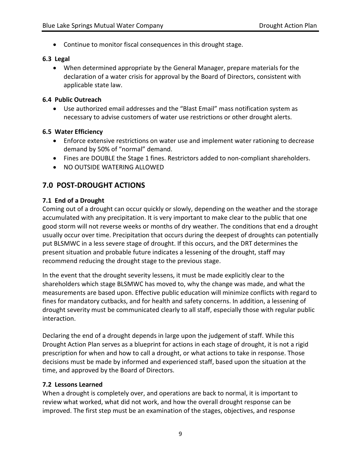• Continue to monitor fiscal consequences in this drought stage.

#### **6.3 Legal**

• When determined appropriate by the General Manager, prepare materials for the declaration of a water crisis for approval by the Board of Directors, consistent with applicable state law.

#### **6.4 Public Outreach**

• Use authorized email addresses and the "Blast Email" mass notification system as necessary to advise customers of water use restrictions or other drought alerts.

#### **6.5 Water Efficiency**

- Enforce extensive restrictions on water use and implement water rationing to decrease demand by 50% of "normal" demand.
- Fines are DOUBLE the Stage 1 fines. Restrictors added to non-compliant shareholders.
- NO OUTSIDE WATERING ALLOWED

## **7.0 POST-DROUGHT ACTIONS**

#### **7.1 End of a Drought**

Coming out of a drought can occur quickly or slowly, depending on the weather and the storage accumulated with any precipitation. It is very important to make clear to the public that one good storm will not reverse weeks or months of dry weather. The conditions that end a drought usually occur over time. Precipitation that occurs during the deepest of droughts can potentially put BLSMWC in a less severe stage of drought. If this occurs, and the DRT determines the present situation and probable future indicates a lessening of the drought, staff may recommend reducing the drought stage to the previous stage.

In the event that the drought severity lessens, it must be made explicitly clear to the shareholders which stage BLSMWC has moved to, why the change was made, and what the measurements are based upon. Effective public education will minimize conflicts with regard to fines for mandatory cutbacks, and for health and safety concerns. In addition, a lessening of drought severity must be communicated clearly to all staff, especially those with regular public interaction.

Declaring the end of a drought depends in large upon the judgement of staff. While this Drought Action Plan serves as a blueprint for actions in each stage of drought, it is not a rigid prescription for when and how to call a drought, or what actions to take in response. Those decisions must be made by informed and experienced staff, based upon the situation at the time, and approved by the Board of Directors.

#### **7.2 Lessons Learned**

When a drought is completely over, and operations are back to normal, it is important to review what worked, what did not work, and how the overall drought response can be improved. The first step must be an examination of the stages, objectives, and response